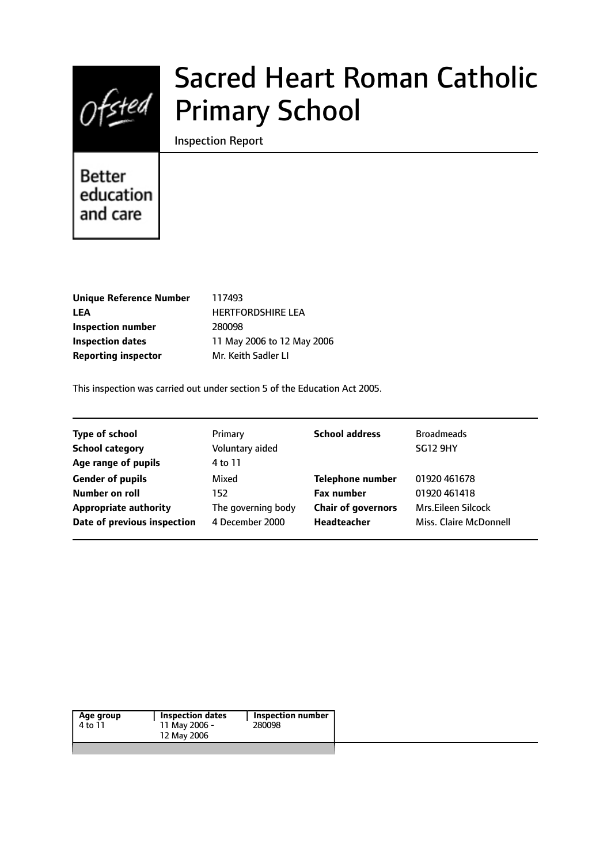

# Sacred Heart Roman Catholic Primary School

Inspection Report

# **Better** education and care

| <b>Unique Reference Number</b> |
|--------------------------------|
| LEA                            |
| Inspection number              |
| <b>Inspection dates</b>        |
| <b>Reporting inspector</b>     |

**Unique Reference Number** 117493 **LEA** HERTFORDSHIRE LEA **Inspection number** 280098 11 May 2006 to 12 May 2006 **Mr. Keith Sadler LI** 

This inspection was carried out under section 5 of the Education Act 2005.

| <b>Type of school</b>        | Primary            | <b>School address</b>     | <b>Broadmeads</b>      |
|------------------------------|--------------------|---------------------------|------------------------|
| <b>School category</b>       | Voluntary aided    |                           | <b>SG12 9HY</b>        |
| Age range of pupils          | 4 to 11            |                           |                        |
| <b>Gender of pupils</b>      | Mixed              | <b>Telephone number</b>   | 01920 461678           |
| Number on roll               | 152                | <b>Fax number</b>         | 01920 461418           |
| <b>Appropriate authority</b> | The governing body | <b>Chair of governors</b> | Mrs.Eileen Silcock     |
| Date of previous inspection  | 4 December 2000    | Headteacher               | Miss. Claire McDonnell |

| Age group | <b>Inspection dates</b> | <b>Inspection number</b> |  |
|-----------|-------------------------|--------------------------|--|
| 4 to 11   | 11 May 2006 -           | 280098                   |  |
|           | 12 May 2006             |                          |  |
|           |                         |                          |  |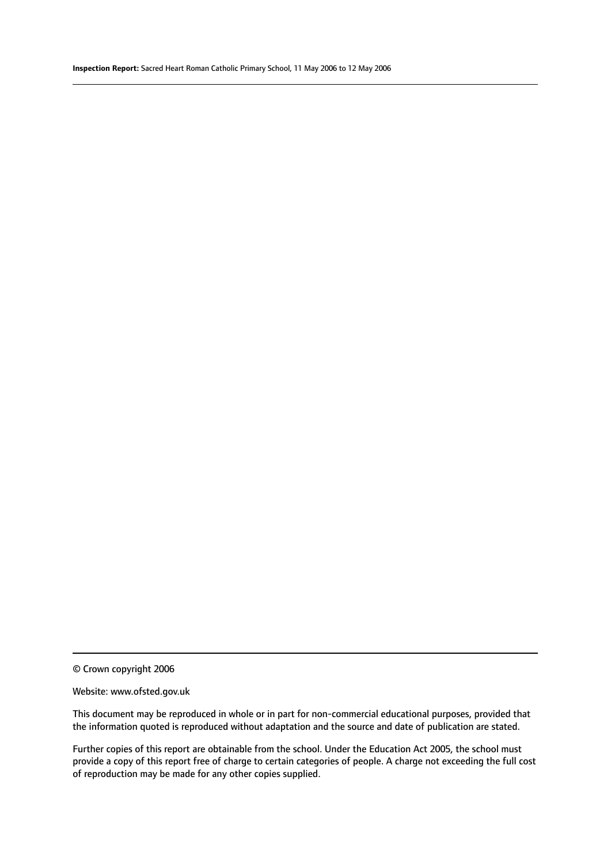© Crown copyright 2006

#### Website: www.ofsted.gov.uk

This document may be reproduced in whole or in part for non-commercial educational purposes, provided that the information quoted is reproduced without adaptation and the source and date of publication are stated.

Further copies of this report are obtainable from the school. Under the Education Act 2005, the school must provide a copy of this report free of charge to certain categories of people. A charge not exceeding the full cost of reproduction may be made for any other copies supplied.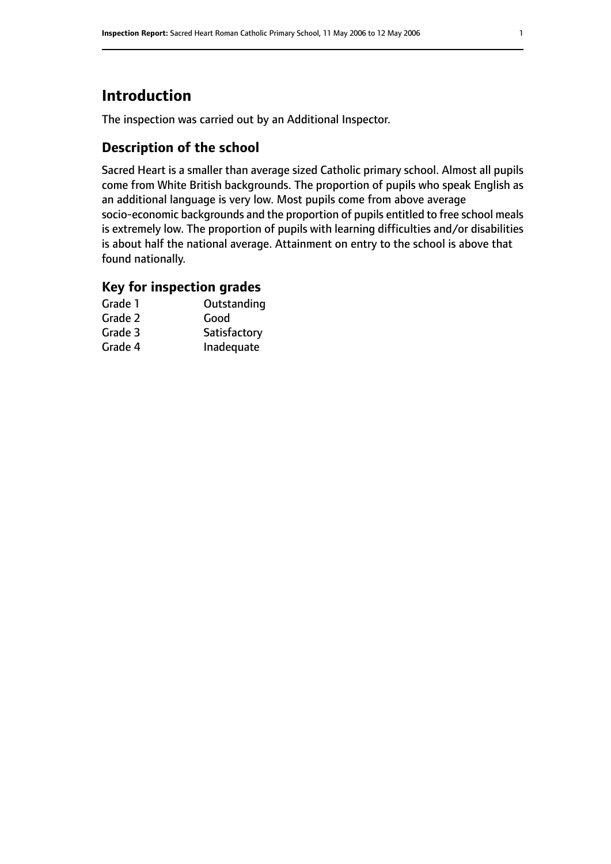# **Introduction**

The inspection was carried out by an Additional Inspector.

# **Description of the school**

Sacred Heart is a smaller than average sized Catholic primary school. Almost all pupils come from White British backgrounds. The proportion of pupils who speak English as an additional language is very low. Most pupils come from above average socio-economic backgrounds and the proportion of pupils entitled to free school meals is extremely low. The proportion of pupils with learning difficulties and/or disabilities is about half the national average. Attainment on entry to the school is above that found nationally.

### **Key for inspection grades**

| Grade 1 | Outstanding  |
|---------|--------------|
| Grade 2 | Good         |
| Grade 3 | Satisfactory |
| Grade 4 | Inadequate   |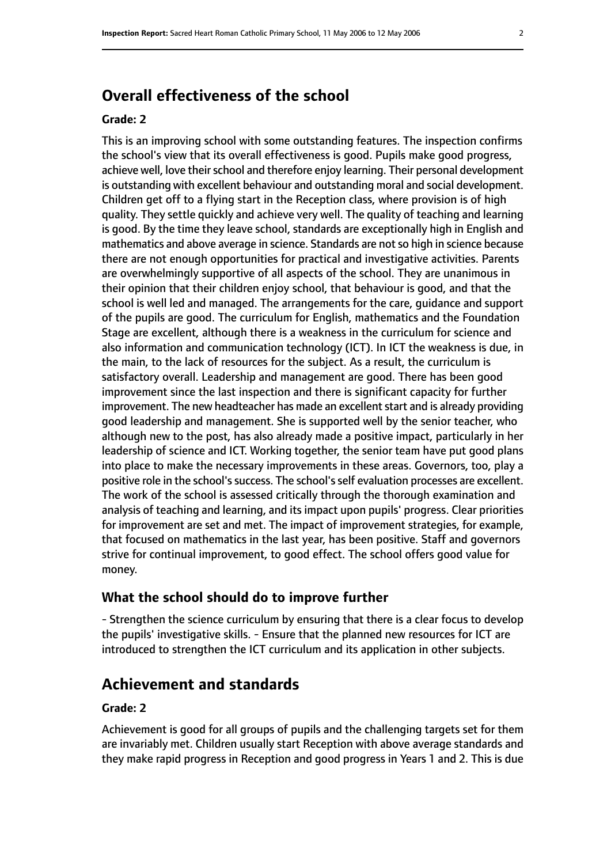# **Overall effectiveness of the school**

#### **Grade: 2**

This is an improving school with some outstanding features. The inspection confirms the school's view that its overall effectiveness is good. Pupils make good progress, achieve well, love their school and therefore enjoy learning. Their personal development is outstanding with excellent behaviour and outstanding moral and social development. Children get off to a flying start in the Reception class, where provision is of high quality. They settle quickly and achieve very well. The quality of teaching and learning is good. By the time they leave school, standards are exceptionally high in English and mathematics and above average in science. Standards are not so high in science because there are not enough opportunities for practical and investigative activities. Parents are overwhelmingly supportive of all aspects of the school. They are unanimous in their opinion that their children enjoy school, that behaviour is good, and that the school is well led and managed. The arrangements for the care, guidance and support of the pupils are good. The curriculum for English, mathematics and the Foundation Stage are excellent, although there is a weakness in the curriculum for science and also information and communication technology (ICT). In ICT the weakness is due, in the main, to the lack of resources for the subject. As a result, the curriculum is satisfactory overall. Leadership and management are good. There has been good improvement since the last inspection and there is significant capacity for further improvement. The new headteacher has made an excellent start and is already providing good leadership and management. She is supported well by the senior teacher, who although new to the post, has also already made a positive impact, particularly in her leadership of science and ICT. Working together, the senior team have put good plans into place to make the necessary improvements in these areas. Governors, too, play a positive role in the school's success. The school's self evaluation processes are excellent. The work of the school is assessed critically through the thorough examination and analysis of teaching and learning, and its impact upon pupils' progress. Clear priorities for improvement are set and met. The impact of improvement strategies, for example, that focused on mathematics in the last year, has been positive. Staff and governors strive for continual improvement, to good effect. The school offers good value for money.

#### **What the school should do to improve further**

- Strengthen the science curriculum by ensuring that there is a clear focus to develop the pupils' investigative skills. - Ensure that the planned new resources for ICT are introduced to strengthen the ICT curriculum and its application in other subjects.

# **Achievement and standards**

#### **Grade: 2**

Achievement is good for all groups of pupils and the challenging targets set for them are invariably met. Children usually start Reception with above average standards and they make rapid progress in Reception and good progress in Years 1 and 2. This is due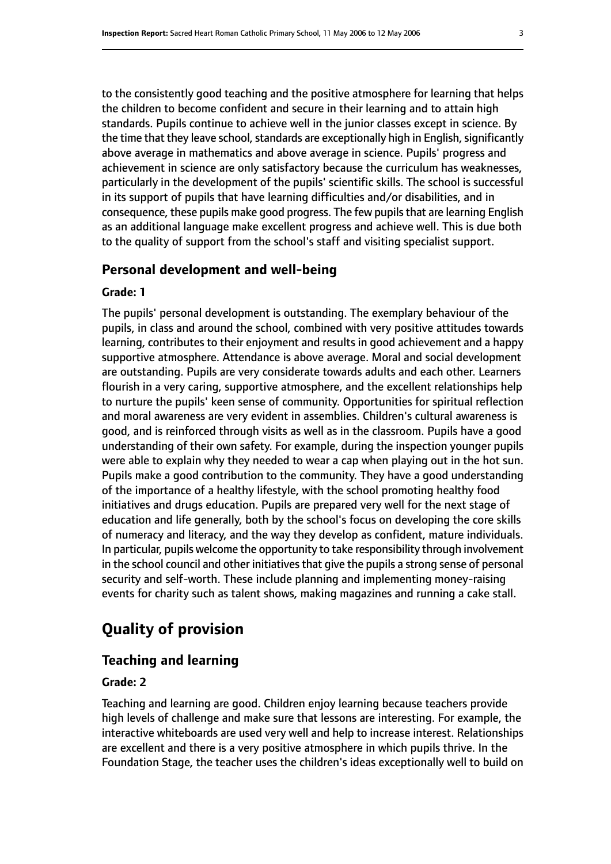to the consistently good teaching and the positive atmosphere for learning that helps the children to become confident and secure in their learning and to attain high standards. Pupils continue to achieve well in the junior classes except in science. By the time that they leave school, standards are exceptionally high in English, significantly above average in mathematics and above average in science. Pupils' progress and achievement in science are only satisfactory because the curriculum has weaknesses, particularly in the development of the pupils' scientific skills. The school is successful in its support of pupils that have learning difficulties and/or disabilities, and in consequence, these pupils make good progress. The few pupils that are learning English as an additional language make excellent progress and achieve well. This is due both to the quality of support from the school's staff and visiting specialist support.

#### **Personal development and well-being**

#### **Grade: 1**

The pupils' personal development is outstanding. The exemplary behaviour of the pupils, in class and around the school, combined with very positive attitudes towards learning, contributes to their enjoyment and results in good achievement and a happy supportive atmosphere. Attendance is above average. Moral and social development are outstanding. Pupils are very considerate towards adults and each other. Learners flourish in a very caring, supportive atmosphere, and the excellent relationships help to nurture the pupils' keen sense of community. Opportunities for spiritual reflection and moral awareness are very evident in assemblies. Children's cultural awareness is good, and is reinforced through visits as well as in the classroom. Pupils have a good understanding of their own safety. For example, during the inspection younger pupils were able to explain why they needed to wear a cap when playing out in the hot sun. Pupils make a good contribution to the community. They have a good understanding of the importance of a healthy lifestyle, with the school promoting healthy food initiatives and drugs education. Pupils are prepared very well for the next stage of education and life generally, both by the school's focus on developing the core skills of numeracy and literacy, and the way they develop as confident, mature individuals. In particular, pupils welcome the opportunity to take responsibility through involvement in the school council and other initiatives that give the pupils a strong sense of personal security and self-worth. These include planning and implementing money-raising events for charity such as talent shows, making magazines and running a cake stall.

# **Quality of provision**

#### **Teaching and learning**

#### **Grade: 2**

Teaching and learning are good. Children enjoy learning because teachers provide high levels of challenge and make sure that lessons are interesting. For example, the interactive whiteboards are used very well and help to increase interest. Relationships are excellent and there is a very positive atmosphere in which pupils thrive. In the Foundation Stage, the teacher uses the children's ideas exceptionally well to build on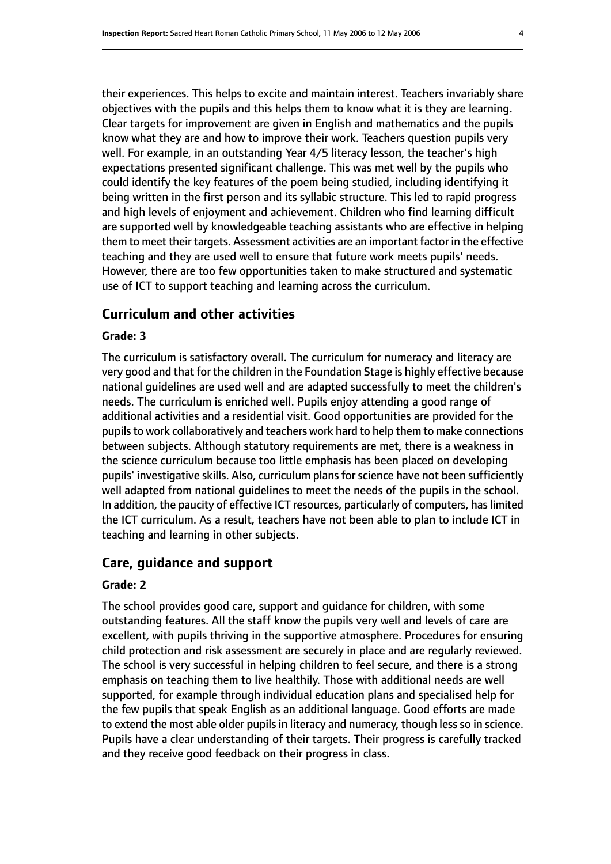their experiences. This helps to excite and maintain interest. Teachers invariably share objectives with the pupils and this helps them to know what it is they are learning. Clear targets for improvement are given in English and mathematics and the pupils know what they are and how to improve their work. Teachers question pupils very well. For example, in an outstanding Year 4/5 literacy lesson, the teacher's high expectations presented significant challenge. This was met well by the pupils who could identify the key features of the poem being studied, including identifying it being written in the first person and its syllabic structure. This led to rapid progress and high levels of enjoyment and achievement. Children who find learning difficult are supported well by knowledgeable teaching assistants who are effective in helping them to meet their targets. Assessment activities are an important factor in the effective teaching and they are used well to ensure that future work meets pupils' needs. However, there are too few opportunities taken to make structured and systematic use of ICT to support teaching and learning across the curriculum.

#### **Curriculum and other activities**

#### **Grade: 3**

The curriculum is satisfactory overall. The curriculum for numeracy and literacy are very good and that for the children in the Foundation Stage is highly effective because national guidelines are used well and are adapted successfully to meet the children's needs. The curriculum is enriched well. Pupils enjoy attending a good range of additional activities and a residential visit. Good opportunities are provided for the pupils to work collaboratively and teachers work hard to help them to make connections between subjects. Although statutory requirements are met, there is a weakness in the science curriculum because too little emphasis has been placed on developing pupils' investigative skills. Also, curriculum plans for science have not been sufficiently well adapted from national guidelines to meet the needs of the pupils in the school. In addition, the paucity of effective ICT resources, particularly of computers, has limited the ICT curriculum. As a result, teachers have not been able to plan to include ICT in teaching and learning in other subjects.

#### **Care, guidance and support**

#### **Grade: 2**

The school provides good care, support and guidance for children, with some outstanding features. All the staff know the pupils very well and levels of care are excellent, with pupils thriving in the supportive atmosphere. Procedures for ensuring child protection and risk assessment are securely in place and are regularly reviewed. The school is very successful in helping children to feel secure, and there is a strong emphasis on teaching them to live healthily. Those with additional needs are well supported, for example through individual education plans and specialised help for the few pupils that speak English as an additional language. Good efforts are made to extend the most able older pupils in literacy and numeracy, though less so in science. Pupils have a clear understanding of their targets. Their progress is carefully tracked and they receive good feedback on their progress in class.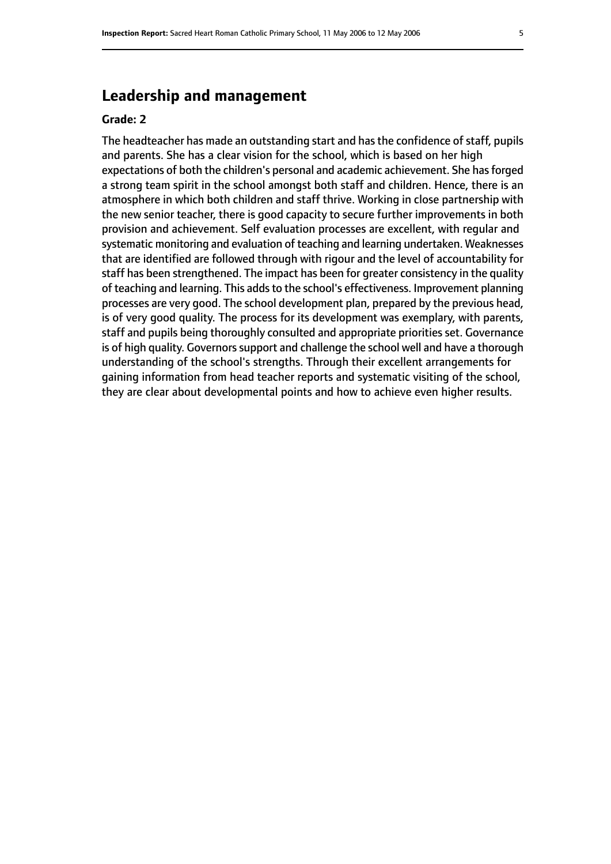# **Leadership and management**

#### **Grade: 2**

The headteacher has made an outstanding start and has the confidence of staff, pupils and parents. She has a clear vision for the school, which is based on her high expectations of both the children's personal and academic achievement. She has forged a strong team spirit in the school amongst both staff and children. Hence, there is an atmosphere in which both children and staff thrive. Working in close partnership with the new senior teacher, there is good capacity to secure further improvements in both provision and achievement. Self evaluation processes are excellent, with regular and systematic monitoring and evaluation of teaching and learning undertaken. Weaknesses that are identified are followed through with rigour and the level of accountability for staff has been strengthened. The impact has been for greater consistency in the quality of teaching and learning. This adds to the school's effectiveness. Improvement planning processes are very good. The school development plan, prepared by the previous head, is of very good quality. The process for its development was exemplary, with parents, staff and pupils being thoroughly consulted and appropriate priorities set. Governance is of high quality. Governors support and challenge the school well and have a thorough understanding of the school's strengths. Through their excellent arrangements for gaining information from head teacher reports and systematic visiting of the school, they are clear about developmental points and how to achieve even higher results.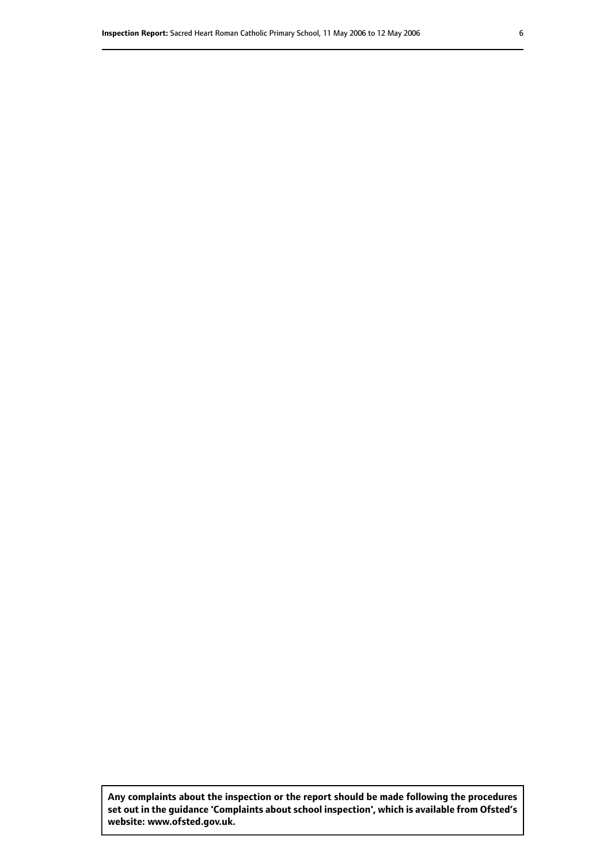**Any complaints about the inspection or the report should be made following the procedures set out inthe guidance 'Complaints about school inspection', whichis available from Ofsted's website: www.ofsted.gov.uk.**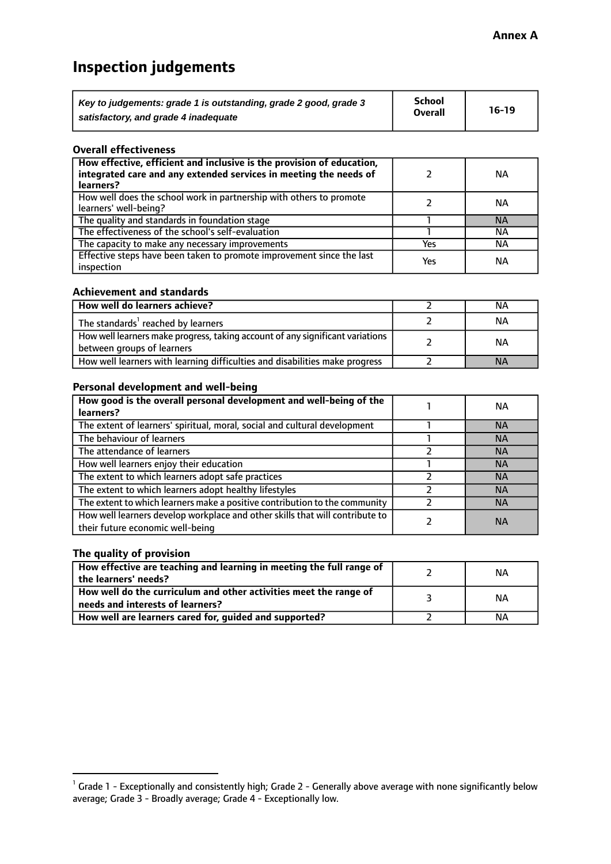# **Inspection judgements**

| Key to judgements: grade 1 is outstanding, grade 2 good, grade 3 | <b>School</b>  | $16-19$ |
|------------------------------------------------------------------|----------------|---------|
| satisfactory, and grade 4 inadequate                             | <b>Overall</b> |         |

#### **Overall effectiveness**

| How effective, efficient and inclusive is the provision of education,<br>integrated care and any extended services in meeting the needs of<br>learners? |     | NА        |
|---------------------------------------------------------------------------------------------------------------------------------------------------------|-----|-----------|
| How well does the school work in partnership with others to promote<br>learners' well-being?                                                            |     | NА        |
| The quality and standards in foundation stage                                                                                                           |     | <b>NA</b> |
| The effectiveness of the school's self-evaluation                                                                                                       |     | ΝA        |
| The capacity to make any necessary improvements                                                                                                         | Yes | NА        |
| Effective steps have been taken to promote improvement since the last<br>inspection                                                                     | Yes | ΝA        |

#### **Achievement and standards**

| How well do learners achieve?                                                                               | ΝA        |
|-------------------------------------------------------------------------------------------------------------|-----------|
| The standards <sup>1</sup> reached by learners                                                              | NА        |
| How well learners make progress, taking account of any significant variations<br>between groups of learners | <b>NA</b> |
| How well learners with learning difficulties and disabilities make progress                                 | <b>NA</b> |

#### **Personal development and well-being**

| How good is the overall personal development and well-being of the                                               | NА        |
|------------------------------------------------------------------------------------------------------------------|-----------|
| learners?                                                                                                        |           |
| The extent of learners' spiritual, moral, social and cultural development                                        | NА        |
| The behaviour of learners                                                                                        | <b>NA</b> |
| The attendance of learners                                                                                       | <b>NA</b> |
| How well learners enjoy their education                                                                          | <b>NA</b> |
| The extent to which learners adopt safe practices                                                                | <b>NA</b> |
| The extent to which learners adopt healthy lifestyles                                                            | <b>NA</b> |
| The extent to which learners make a positive contribution to the community                                       | <b>NA</b> |
| How well learners develop workplace and other skills that will contribute to<br>their future economic well-being | <b>NA</b> |

#### **The quality of provision**

| How effective are teaching and learning in meeting the full range of<br>the learners' needs?          | ΝA |
|-------------------------------------------------------------------------------------------------------|----|
| How well do the curriculum and other activities meet the range of<br>needs and interests of learners? | ΝA |
| How well are learners cared for, guided and supported?                                                | NА |

 $^1$  Grade 1 - Exceptionally and consistently high; Grade 2 - Generally above average with none significantly below average; Grade 3 - Broadly average; Grade 4 - Exceptionally low.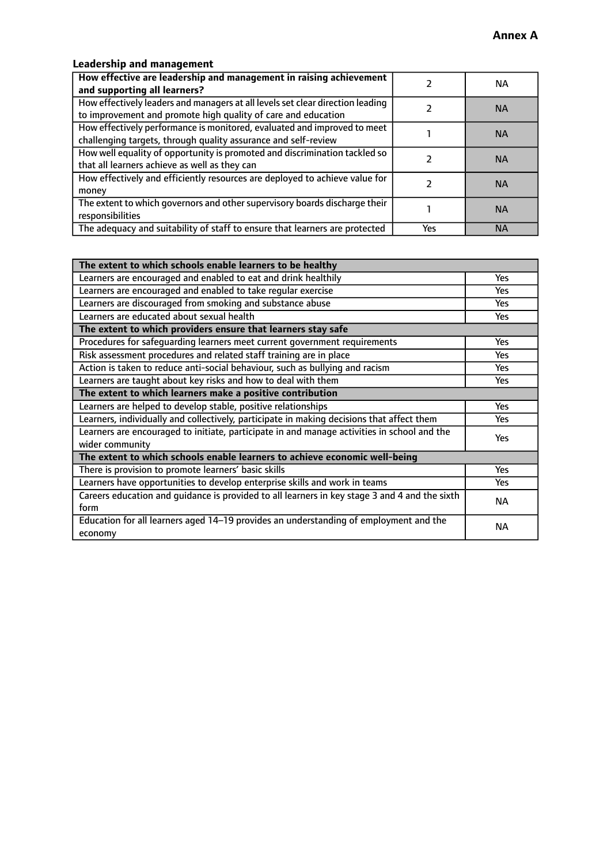## **Leadership and management**

| How effective are leadership and management in raising achievement<br>and supporting all learners?                                              |     | NA.       |
|-------------------------------------------------------------------------------------------------------------------------------------------------|-----|-----------|
| How effectively leaders and managers at all levels set clear direction leading<br>to improvement and promote high quality of care and education |     | <b>NA</b> |
| How effectively performance is monitored, evaluated and improved to meet<br>challenging targets, through quality assurance and self-review      |     | <b>NA</b> |
| How well equality of opportunity is promoted and discrimination tackled so<br>that all learners achieve as well as they can                     |     | <b>NA</b> |
| How effectively and efficiently resources are deployed to achieve value for<br>money                                                            |     | <b>NA</b> |
| The extent to which governors and other supervisory boards discharge their<br>responsibilities                                                  |     | <b>NA</b> |
| The adequacy and suitability of staff to ensure that learners are protected                                                                     | Yes | <b>NA</b> |

| The extent to which schools enable learners to be healthy                                     |            |
|-----------------------------------------------------------------------------------------------|------------|
| Learners are encouraged and enabled to eat and drink healthily                                | Yes        |
| Learners are encouraged and enabled to take regular exercise                                  | Yes        |
| Learners are discouraged from smoking and substance abuse                                     | <b>Yes</b> |
| Learners are educated about sexual health                                                     | <b>Yes</b> |
| The extent to which providers ensure that learners stay safe                                  |            |
| Procedures for safequarding learners meet current government requirements                     | Yes        |
| Risk assessment procedures and related staff training are in place                            | Yes        |
| Action is taken to reduce anti-social behaviour, such as bullying and racism                  | Yes        |
| Learners are taught about key risks and how to deal with them                                 | <b>Yes</b> |
| The extent to which learners make a positive contribution                                     |            |
| Learners are helped to develop stable, positive relationships                                 | Yes        |
| Learners, individually and collectively, participate in making decisions that affect them     | Yes        |
| Learners are encouraged to initiate, participate in and manage activities in school and the   | <b>Yes</b> |
| wider community                                                                               |            |
| The extent to which schools enable learners to achieve economic well-being                    |            |
| There is provision to promote learners' basic skills                                          | Yes        |
| Learners have opportunities to develop enterprise skills and work in teams                    | <b>Yes</b> |
| Careers education and guidance is provided to all learners in key stage 3 and 4 and the sixth | <b>NA</b>  |
| form                                                                                          |            |
| Education for all learners aged 14-19 provides an understanding of employment and the         | NА         |
| economy                                                                                       |            |